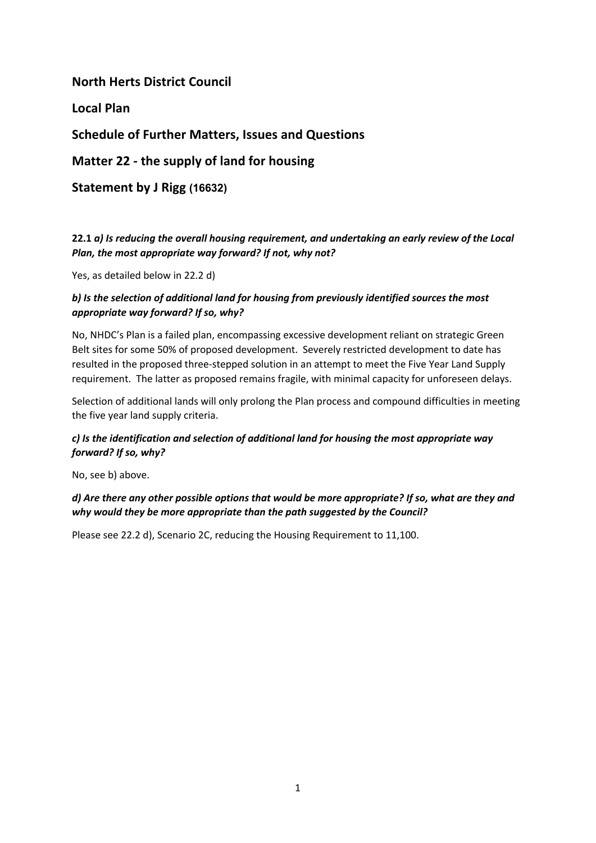# **North Herts District Council**

**Local Plan** 

# **Schedule of Further Matters, Issues and Questions**

**Matter 22 - the supply of land for housing**

**Statement by J Rigg (16632)**

# **22.1** *a) Is reducing the overall housing requirement, and undertaking an early review of the Local Plan, the most appropriate way forward? If not, why not?*

Yes, as detailed below in 22.2 d)

### *b) Is the selection of additional land for housing from previously identified sources the most appropriate way forward? If so, why?*

No, NHDC's Plan is a failed plan, encompassing excessive development reliant on strategic Green Belt sites for some 50% of proposed development. Severely restricted development to date has resulted in the proposed three-stepped solution in an attempt to meet the Five Year Land Supply requirement. The latter as proposed remains fragile, with minimal capacity for unforeseen delays.

Selection of additional lands will only prolong the Plan process and compound difficulties in meeting the five year land supply criteria.

# *c) Is the identification and selection of additional land for housing the most appropriate way forward? If so, why?*

No, see b) above.

# *d) Are there any other possible options that would be more appropriate? If so, what are they and why would they be more appropriate than the path suggested by the Council?*

Please see 22.2 d), Scenario 2C, reducing the Housing Requirement to 11,100.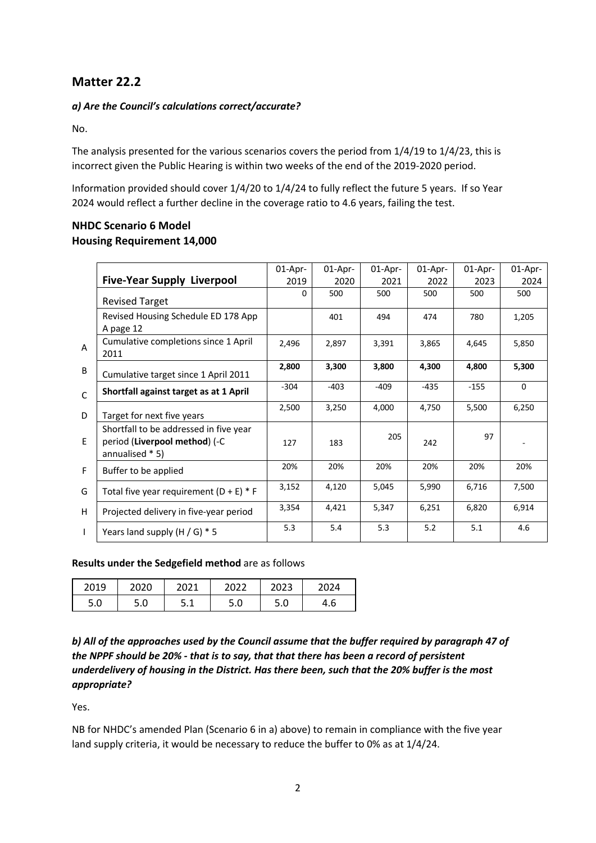# **Matter 22.2**

## *a) Are the Council's calculations correct/accurate?*

No.

The analysis presented for the various scenarios covers the period from 1/4/19 to 1/4/23, this is incorrect given the Public Hearing is within two weeks of the end of the 2019-2020 period.

Information provided should cover 1/4/20 to 1/4/24 to fully reflect the future 5 years. If so Year 2024 would reflect a further decline in the coverage ratio to 4.6 years, failing the test.

# **NHDC Scenario 6 Model Housing Requirement 14,000**

|              |                                                                                            | $01$ -Apr- | $01$ -Apr- | $01$ -Apr- | $01$ -Apr- | 01-Apr- | $01$ -Apr- |
|--------------|--------------------------------------------------------------------------------------------|------------|------------|------------|------------|---------|------------|
|              | <b>Five-Year Supply Liverpool</b>                                                          | 2019       | 2020       | 2021       | 2022       | 2023    | 2024       |
|              | <b>Revised Target</b>                                                                      | 0          | 500        | 500        | 500        | 500     | 500        |
|              | Revised Housing Schedule ED 178 App<br>A page 12                                           |            | 401        | 494        | 474        | 780     | 1,205      |
| A            | Cumulative completions since 1 April<br>2011                                               | 2,496      | 2,897      | 3,391      | 3,865      | 4,645   | 5,850      |
| B            | Cumulative target since 1 April 2011                                                       | 2,800      | 3,300      | 3,800      | 4,300      | 4,800   | 5,300      |
| $\mathsf{C}$ | Shortfall against target as at 1 April                                                     | $-304$     | $-403$     | $-409$     | $-435$     | $-155$  | $\Omega$   |
| D            | Target for next five years                                                                 | 2,500      | 3,250      | 4,000      | 4,750      | 5,500   | 6,250      |
| E.           | Shortfall to be addressed in five year<br>period (Liverpool method) (-C<br>annualised * 5) | 127        | 183        | 205        | 242        | 97      |            |
| F            | Buffer to be applied                                                                       | 20%        | 20%        | 20%        | 20%        | 20%     | 20%        |
| G            | Total five year requirement $(D + E) * F$                                                  | 3,152      | 4,120      | 5,045      | 5,990      | 6,716   | 7,500      |
| H            | Projected delivery in five-year period                                                     | 3,354      | 4,421      | 5,347      | 6,251      | 6,820   | 6,914      |
| T            | Years land supply $(H / G) * 5$                                                            | 5.3        | 5.4        | 5.3        | 5.2        | 5.1     | 4.6        |

### **Results under the Sedgefield method** are as follows

| 2019 |          | ากาง      | 2022     | วกวว<br>ັບ∠ | 124 |
|------|----------|-----------|----------|-------------|-----|
| 5.0  | C<br>J.U | ۰<br>J. L | ◠<br>J.U | c<br>J.U    | 4.b |

*b) All of the approaches used by the Council assume that the buffer required by paragraph 47 of the NPPF should be 20% - that is to say, that that there has been a record of persistent underdelivery of housing in the District. Has there been, such that the 20% buffer is the most appropriate?*

Yes.

NB for NHDC's amended Plan (Scenario 6 in a) above) to remain in compliance with the five year land supply criteria, it would be necessary to reduce the buffer to 0% as at 1/4/24.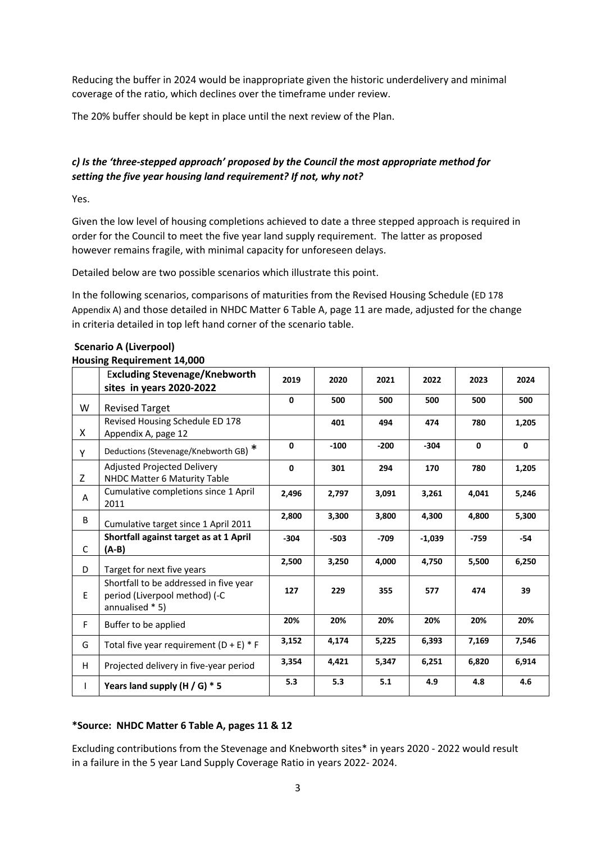Reducing the buffer in 2024 would be inappropriate given the historic underdelivery and minimal coverage of the ratio, which declines over the timeframe under review.

The 20% buffer should be kept in place until the next review of the Plan.

# *c) Is the 'three-stepped approach' proposed by the Council the most appropriate method for setting the five year housing land requirement? If not, why not?*

Yes.

Given the low level of housing completions achieved to date a three stepped approach is required in order for the Council to meet the five year land supply requirement. The latter as proposed however remains fragile, with minimal capacity for unforeseen delays.

Detailed below are two possible scenarios which illustrate this point.

In the following scenarios, comparisons of maturities from the Revised Housing Schedule (ED 178 Appendix A) and those detailed in NHDC Matter 6 Table A, page 11 are made, adjusted for the change in criteria detailed in top left hand corner of the scenario table.

|    | <b>Excluding Stevenage/Knebworth</b><br>sites in years 2020-2022                           | 2019        | 2020   | 2021   | 2022     | 2023         | 2024        |
|----|--------------------------------------------------------------------------------------------|-------------|--------|--------|----------|--------------|-------------|
| W  | <b>Revised Target</b>                                                                      | $\mathbf 0$ | 500    | 500    | 500      | 500          | 500         |
| X. | Revised Housing Schedule ED 178<br>Appendix A, page 12                                     |             | 401    | 494    | 474      | 780          | 1,205       |
| Y  | Deductions (Stevenage/Knebworth GB) *                                                      | $\mathbf 0$ | $-100$ | $-200$ | $-304$   | $\mathbf{0}$ | $\mathbf 0$ |
| Z. | Adjusted Projected Delivery<br>NHDC Matter 6 Maturity Table                                | $\mathbf 0$ | 301    | 294    | 170      | 780          | 1,205       |
| A  | Cumulative completions since 1 April<br>2011                                               | 2,496       | 2,797  | 3,091  | 3,261    | 4,041        | 5,246       |
| B  | Cumulative target since 1 April 2011                                                       | 2,800       | 3,300  | 3,800  | 4,300    | 4,800        | 5,300       |
| C  | Shortfall against target as at 1 April<br>$(A-B)$                                          | $-304$      | $-503$ | -709   | $-1,039$ | $-759$       | $-54$       |
| D  | Target for next five years                                                                 | 2,500       | 3,250  | 4,000  | 4,750    | 5,500        | 6,250       |
| E. | Shortfall to be addressed in five year<br>period (Liverpool method) (-C<br>annualised * 5) | 127         | 229    | 355    | 577      | 474          | 39          |
| F  | Buffer to be applied                                                                       | 20%         | 20%    | 20%    | 20%      | 20%          | 20%         |
| G  | Total five year requirement $(D + E) * F$                                                  | 3,152       | 4,174  | 5,225  | 6,393    | 7,169        | 7,546       |
| H  | Projected delivery in five-year period                                                     | 3,354       | 4,421  | 5,347  | 6,251    | 6,820        | 6,914       |
| L  | Years land supply (H / G) * 5                                                              | 5.3         | 5.3    | 5.1    | 4.9      | 4.8          | 4.6         |

### **Scenario A (Liverpool)**

### **Housing Requirement 14,000**

### **\*Source: NHDC Matter 6 Table A, pages 11 & 12**

Excluding contributions from the Stevenage and Knebworth sites\* in years 2020 - 2022 would result in a failure in the 5 year Land Supply Coverage Ratio in years 2022- 2024.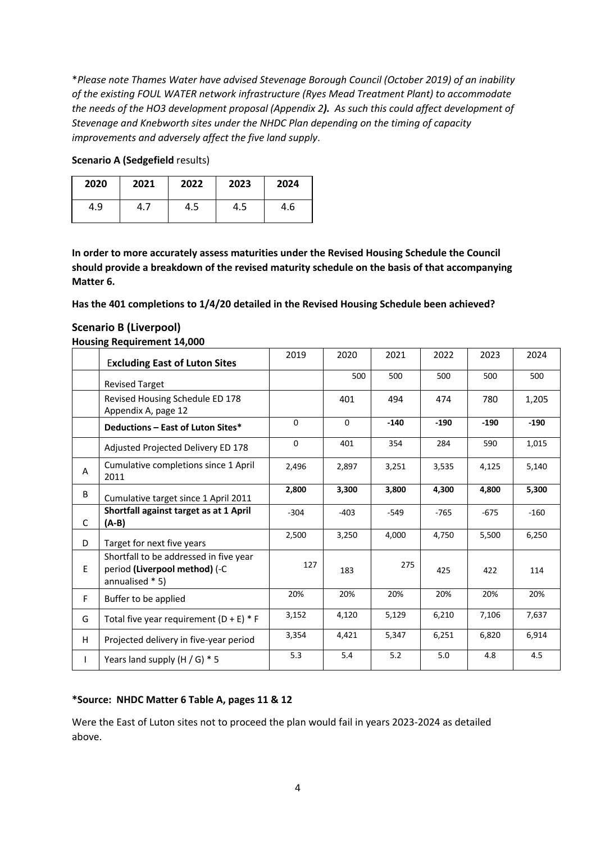\**Please note Thames Water have advised Stevenage Borough Council (October 2019) of an inability of the existing FOUL WATER network infrastructure (Ryes Mead Treatment Plant) to accommodate the needs of the HO3 development proposal (Appendix 2). As such this could affect development of Stevenage and Knebworth sites under the NHDC Plan depending on the timing of capacity improvements and adversely affect the five land supply*.

| 2020 | 2021 | 2022 | 2023 | 2024 |
|------|------|------|------|------|
| 4.9  | 4.,  | 4.5  | 4.5  | 4.6  |

### **Scenario A (Sedgefield results)**

**In order to more accurately assess maturities under the Revised Housing Schedule the Council should provide a breakdown of the revised maturity schedule on the basis of that accompanying Matter 6.** 

**Has the 401 completions to 1/4/20 detailed in the Revised Housing Schedule been achieved?**

|              | <b>HOUSING REQUIREMENT 14,000</b>                                                          |             |          |        |        |        |        |
|--------------|--------------------------------------------------------------------------------------------|-------------|----------|--------|--------|--------|--------|
|              | <b>Excluding East of Luton Sites</b>                                                       | 2019        | 2020     | 2021   | 2022   | 2023   | 2024   |
|              | <b>Revised Target</b>                                                                      |             | 500      | 500    | 500    | 500    | 500    |
|              | Revised Housing Schedule ED 178<br>Appendix A, page 12                                     |             | 401      | 494    | 474    | 780    | 1,205  |
|              | Deductions - East of Luton Sites*                                                          | $\Omega$    | $\Omega$ | $-140$ | $-190$ | $-190$ | $-190$ |
|              | Adjusted Projected Delivery ED 178                                                         | $\mathbf 0$ | 401      | 354    | 284    | 590    | 1,015  |
| A            | Cumulative completions since 1 April<br>2011                                               | 2,496       | 2,897    | 3,251  | 3,535  | 4,125  | 5,140  |
| B            | Cumulative target since 1 April 2011                                                       | 2,800       | 3,300    | 3,800  | 4,300  | 4,800  | 5,300  |
| C            | Shortfall against target as at 1 April<br>(A-B)                                            | $-304$      | $-403$   | $-549$ | $-765$ | $-675$ | $-160$ |
| D            | Target for next five years                                                                 | 2,500       | 3,250    | 4,000  | 4,750  | 5,500  | 6,250  |
| E            | Shortfall to be addressed in five year<br>period (Liverpool method) (-C<br>annualised * 5) | 127         | 183      | 275    | 425    | 422    | 114    |
| F.           | Buffer to be applied                                                                       | 20%         | 20%      | 20%    | 20%    | 20%    | 20%    |
| G            | Total five year requirement $(D + E) * F$                                                  | 3,152       | 4,120    | 5,129  | 6,210  | 7,106  | 7,637  |
| H            | Projected delivery in five-year period                                                     | 3,354       | 4,421    | 5,347  | 6,251  | 6,820  | 6,914  |
| $\mathbf{I}$ | Years land supply $(H / G) * 5$                                                            | 5.3         | 5.4      | 5.2    | 5.0    | 4.8    | 4.5    |

### **Scenario B (Liverpool) Housing Requirement 14,000**

**\*Source: NHDC Matter 6 Table A, pages 11 & 12** 

Were the East of Luton sites not to proceed the plan would fail in years 2023-2024 as detailed above.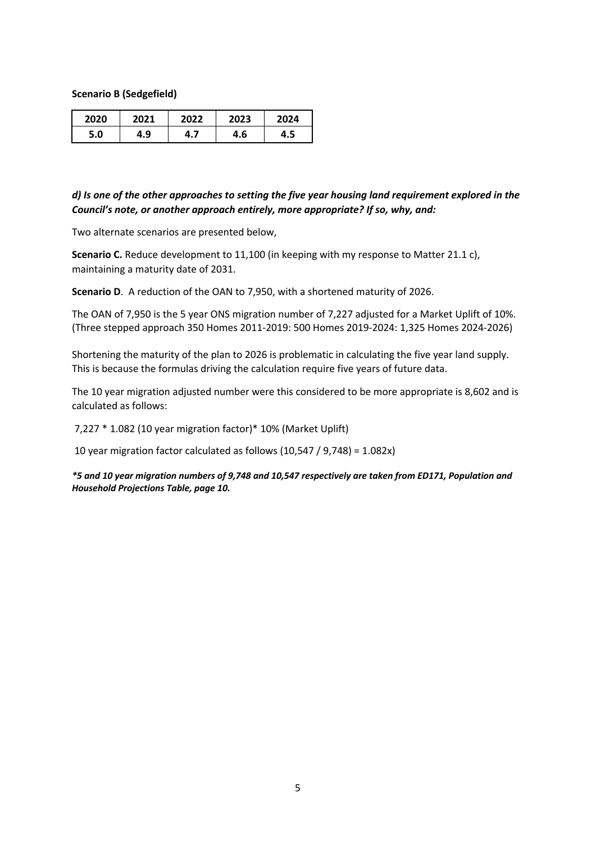**Scenario B (Sedgefield)**

| 2020 |     | 2022 | 2023 | 2024 |
|------|-----|------|------|------|
| 5.0  | 4.9 |      | 4.6  | 4.5  |

### *d) Is one of the other approaches to setting the five year housing land requirement explored in the Council's note, or another approach entirely, more appropriate? If so, why, and:*

Two alternate scenarios are presented below,

**Scenario C.** Reduce development to 11,100 (in keeping with my response to Matter 21.1 c), maintaining a maturity date of 2031.

**Scenario D**. A reduction of the OAN to 7,950, with a shortened maturity of 2026.

The OAN of 7,950 is the 5 year ONS migration number of 7,227 adjusted for a Market Uplift of 10%. (Three stepped approach 350 Homes 2011-2019: 500 Homes 2019-2024: 1,325 Homes 2024-2026)

Shortening the maturity of the plan to 2026 is problematic in calculating the five year land supply. This is because the formulas driving the calculation require five years of future data.

The 10 year migration adjusted number were this considered to be more appropriate is 8,602 and is calculated as follows:

7,227 \* 1.082 (10 year migration factor)\* 10% (Market Uplift)

10 year migration factor calculated as follows (10,547 / 9,748) = 1.082x)

*\*5 and 10 year migration numbers of 9,748 and 10,547 respectively are taken from ED171, Population and Household Projections Table, page 10.*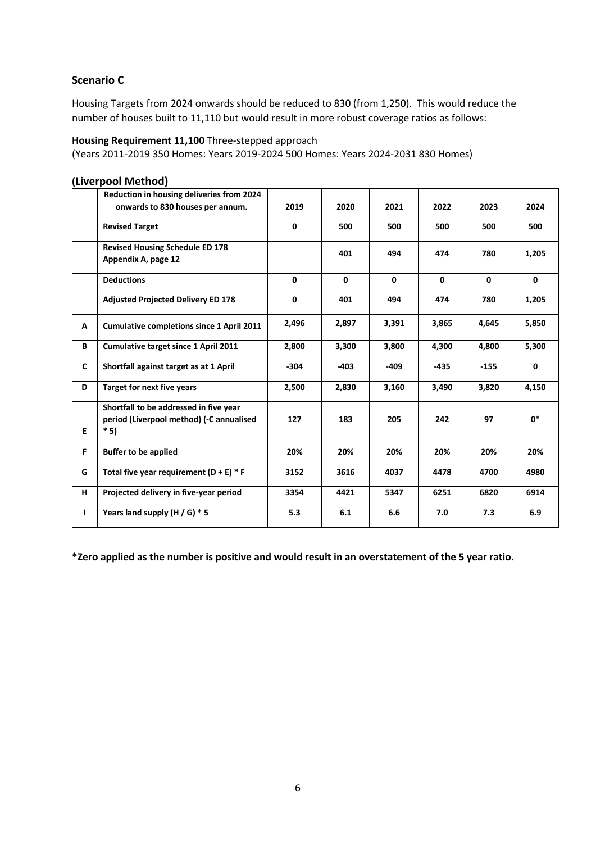## **Scenario C**

Housing Targets from 2024 onwards should be reduced to 830 (from 1,250). This would reduce the number of houses built to 11,110 but would result in more robust coverage ratios as follows:

### **Housing Requirement 11,100** Three-stepped approach

(Years 2011-2019 350 Homes: Years 2019-2024 500 Homes: Years 2024-2031 830 Homes)

|    | Reduction in housing deliveries from 2024<br>onwards to 830 houses per annum.               | 2019         | 2020         | 2021         | 2022         | 2023   | 2024         |
|----|---------------------------------------------------------------------------------------------|--------------|--------------|--------------|--------------|--------|--------------|
|    | <b>Revised Target</b>                                                                       | 0            | 500          | 500          | 500          | 500    | 500          |
|    | <b>Revised Housing Schedule ED 178</b><br>Appendix A, page 12                               |              | 401          | 494          | 474          | 780    | 1,205        |
|    | <b>Deductions</b>                                                                           | $\mathbf{0}$ | $\mathbf{0}$ | $\mathbf{0}$ | $\mathbf{0}$ | 0      | $\mathbf{0}$ |
|    | <b>Adjusted Projected Delivery ED 178</b>                                                   | 0            | 401          | 494          | 474          | 780    | 1,205        |
| Α  | <b>Cumulative completions since 1 April 2011</b>                                            | 2,496        | 2,897        | 3,391        | 3,865        | 4,645  | 5,850        |
| В  | Cumulative target since 1 April 2011                                                        | 2,800        | 3,300        | 3,800        | 4,300        | 4,800  | 5,300        |
| C  | Shortfall against target as at 1 April                                                      | $-304$       | $-403$       | $-409$       | $-435$       | $-155$ | 0            |
| D  | <b>Target for next five years</b>                                                           | 2,500        | 2,830        | 3,160        | 3,490        | 3,820  | 4,150        |
| E  | Shortfall to be addressed in five year<br>period (Liverpool method) (-C annualised<br>$*5)$ | 127          | 183          | 205          | 242          | 97     | $0*$         |
| F. | <b>Buffer to be applied</b>                                                                 | 20%          | 20%          | 20%          | 20%          | 20%    | 20%          |
| G  | Total five year requirement $(D + E) * F$                                                   | 3152         | 3616         | 4037         | 4478         | 4700   | 4980         |
| н  | Projected delivery in five-year period                                                      | 3354         | 4421         | 5347         | 6251         | 6820   | 6914         |
| н  | Years land supply (H / G) * 5                                                               | 5.3          | 6.1          | 6.6          | 7.0          | 7.3    | 6.9          |

### **(Liverpool Method)**

**\*Zero applied as the number is positive and would result in an overstatement of the 5 year ratio.**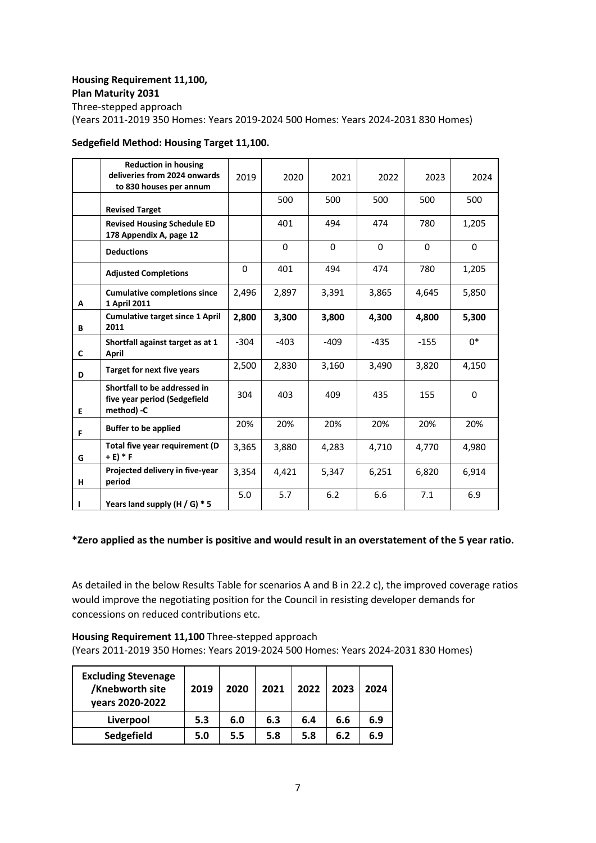### **Housing Requirement 11,100, Plan Maturity 2031**

Three-stepped approach (Years 2011-2019 350 Homes: Years 2019-2024 500 Homes: Years 2024-2031 830 Homes)

### **Sedgefield Method: Housing Target 11,100.**

|              | <b>Reduction in housing</b><br>deliveries from 2024 onwards<br>to 830 houses per annum | 2019   | 2020     | 2021     | 2022   | 2023   | 2024  |
|--------------|----------------------------------------------------------------------------------------|--------|----------|----------|--------|--------|-------|
|              | <b>Revised Target</b>                                                                  |        | 500      | 500      | 500    | 500    | 500   |
|              | <b>Revised Housing Schedule ED</b><br>178 Appendix A, page 12                          |        | 401      | 494      | 474    | 780    | 1,205 |
|              | <b>Deductions</b>                                                                      |        | $\Omega$ | $\Omega$ | 0      | 0      | 0     |
|              | <b>Adjusted Completions</b>                                                            | 0      | 401      | 494      | 474    | 780    | 1,205 |
| Α            | <b>Cumulative completions since</b><br>1 April 2011                                    | 2,496  | 2,897    | 3,391    | 3,865  | 4,645  | 5,850 |
| B            | <b>Cumulative target since 1 April</b><br>2011                                         | 2,800  | 3,300    | 3,800    | 4,300  | 4.800  | 5,300 |
| $\mathsf{C}$ | Shortfall against target as at 1<br>April                                              | $-304$ | $-403$   | $-409$   | $-435$ | $-155$ | $0^*$ |
| D            | <b>Target for next five years</b>                                                      | 2,500  | 2,830    | 3,160    | 3,490  | 3,820  | 4,150 |
| E            | Shortfall to be addressed in<br>five year period (Sedgefield<br>method) -C             | 304    | 403      | 409      | 435    | 155    | 0     |
| F            | <b>Buffer to be applied</b>                                                            | 20%    | 20%      | 20%      | 20%    | 20%    | 20%   |
| G            | Total five year requirement (D<br>$+ E$ ) * F                                          | 3,365  | 3,880    | 4,283    | 4,710  | 4,770  | 4,980 |
| н            | Projected delivery in five-year<br>period                                              | 3,354  | 4,421    | 5,347    | 6,251  | 6,820  | 6,914 |
| п            | Years land supply $(H / G) * 5$                                                        | 5.0    | 5.7      | 6.2      | 6.6    | 7.1    | 6.9   |

### **\*Zero applied as the number is positive and would result in an overstatement of the 5 year ratio.**

As detailed in the below Results Table for scenarios A and B in 22.2 c), the improved coverage ratios would improve the negotiating position for the Council in resisting developer demands for concessions on reduced contributions etc.

**Housing Requirement 11,100** Three-stepped approach (Years 2011-2019 350 Homes: Years 2019-2024 500 Homes: Years 2024-2031 830 Homes)

| <b>Excluding Stevenage</b><br>/Knebworth site<br>years 2020-2022 | 2019 | 2020 | 2021 | 2022 | 2023 | 2024 |
|------------------------------------------------------------------|------|------|------|------|------|------|
| Liverpool                                                        | 5.3  | 6.0  | 6.3  | 6.4  | 6.6  | 6.9  |
| Sedgefield                                                       | 5.0  | 5.5  | 5.8  | 5.8  | 6.2  | 6.9  |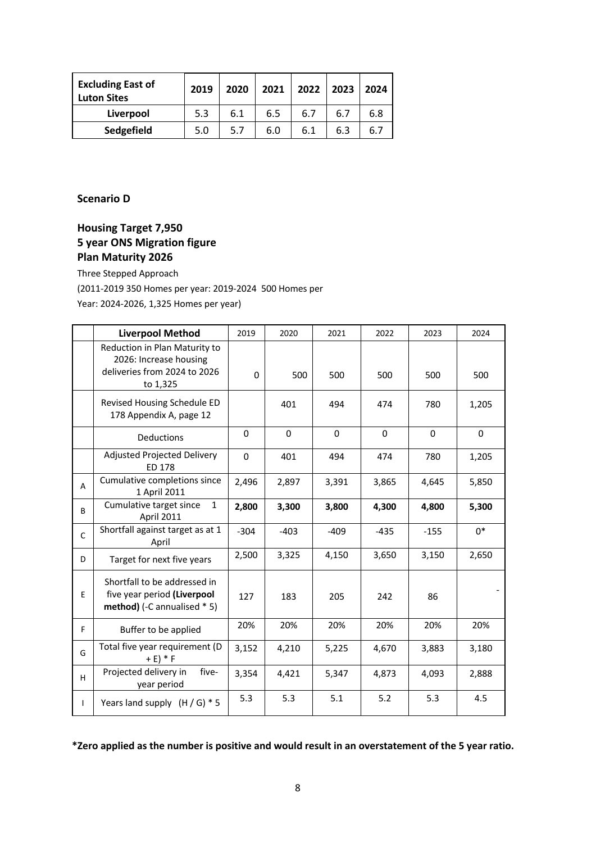| <b>Excluding East of</b><br><b>Luton Sites</b> | 2019 | 2020 | 2021 | 2022 | 2023 | 2024 |
|------------------------------------------------|------|------|------|------|------|------|
| Liverpool                                      | 5.3  | 6.1  | 6.5  | 6.7  | 6.7  | 6.8  |
| Sedgefield                                     | 5.0  | 5.7  | 6.0  | 6.1  | 6.3  | ь.   |

## **Scenario D**

# **Housing Target 7,950 5 year ONS Migration figure Plan Maturity 2026**

Three Stepped Approach

(2011-2019 350 Homes per year: 2019-2024 500 Homes per

Year: 2024-2026, 1,325 Homes per year)

|              | <b>Liverpool Method</b>                                                                             | 2019     | 2020        | 2021     | 2022     | 2023   | 2024        |
|--------------|-----------------------------------------------------------------------------------------------------|----------|-------------|----------|----------|--------|-------------|
|              | Reduction in Plan Maturity to<br>2026: Increase housing<br>deliveries from 2024 to 2026<br>to 1,325 | $\Omega$ | 500         | 500      | 500      | 500    | 500         |
|              | Revised Housing Schedule ED<br>178 Appendix A, page 12                                              |          | 401         | 494      | 474      | 780    | 1,205       |
|              | Deductions                                                                                          | $\Omega$ | $\mathbf 0$ | $\Omega$ | $\Omega$ | 0      | $\mathbf 0$ |
|              | <b>Adjusted Projected Delivery</b><br><b>ED 178</b>                                                 | 0        | 401         | 494      | 474      | 780    | 1,205       |
| A            | Cumulative completions since<br>1 April 2011                                                        | 2,496    | 2,897       | 3,391    | 3,865    | 4,645  | 5,850       |
| B            | Cumulative target since<br>$\mathbf{1}$<br>April 2011                                               | 2,800    | 3,300       | 3,800    | 4,300    | 4,800  | 5,300       |
| $\mathsf{C}$ | Shortfall against target as at 1<br>April                                                           | $-304$   | $-403$      | $-409$   | $-435$   | $-155$ | $0*$        |
| D            | Target for next five years                                                                          | 2,500    | 3,325       | 4,150    | 3,650    | 3,150  | 2,650       |
| E            | Shortfall to be addressed in<br>five year period (Liverpool<br>method) (-C annualised * 5)          | 127      | 183         | 205      | 242      | 86     |             |
| F.           | Buffer to be applied                                                                                | 20%      | 20%         | 20%      | 20%      | 20%    | 20%         |
| G            | Total five year requirement (D<br>$+ E$ ) * F                                                       | 3,152    | 4,210       | 5,225    | 4,670    | 3,883  | 3,180       |
| H.           | Projected delivery in<br>five-<br>year period                                                       | 3,354    | 4,421       | 5,347    | 4,873    | 4,093  | 2,888       |
| $\mathbf{I}$ | Years land supply $(H/G) * 5$                                                                       | 5.3      | 5.3         | 5.1      | 5.2      | 5.3    | 4.5         |

**\*Zero applied as the number is positive and would result in an overstatement of the 5 year ratio.**